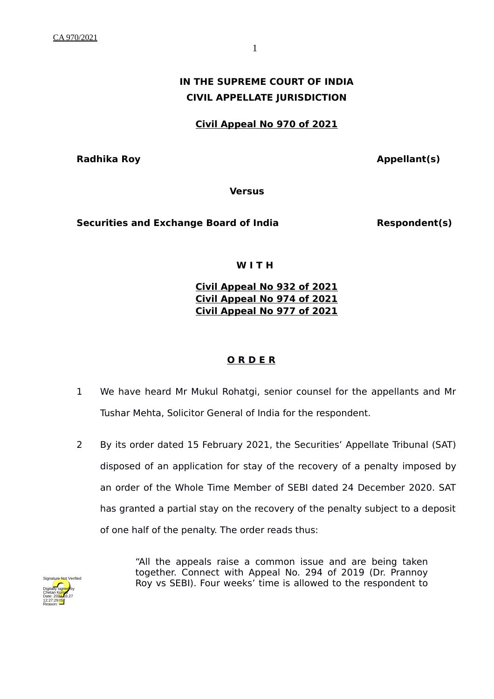# **IN THE SUPREME COURT OF INDIA CIVIL APPELLATE JURISDICTION**

**Civil Appeal No 970 of 2021**

**Radhika Roy Appellant(s)** 

**Versus**

Securities and Exchange Board of India **Respondent(s)** 

#### **W I T H**

## **Civil Appeal No 932 of 2021 Civil Appeal No 974 of 2021 Civil Appeal No 977 of 2021**

## **O R D E R**

- 1 We have heard Mr Mukul Rohatgi, senior counsel for the appellants and Mr Tushar Mehta, Solicitor General of India for the respondent.
- 2 By its order dated 15 February 2021, the Securities' Appellate Tribunal (SAT) disposed of an application for stay of the recovery of a penalty imposed by an order of the Whole Time Member of SEBI dated 24 December 2020. SAT has granted a partial stay on the recovery of the penalty subject to a deposit of one half of the penalty. The order reads thus:



"All the appeals raise a common issue and are being taken together. Connect with Appeal No. 294 of 2019 (Dr. Prannoy Roy vs SEBI). Four weeks' time is allowed to the respondent to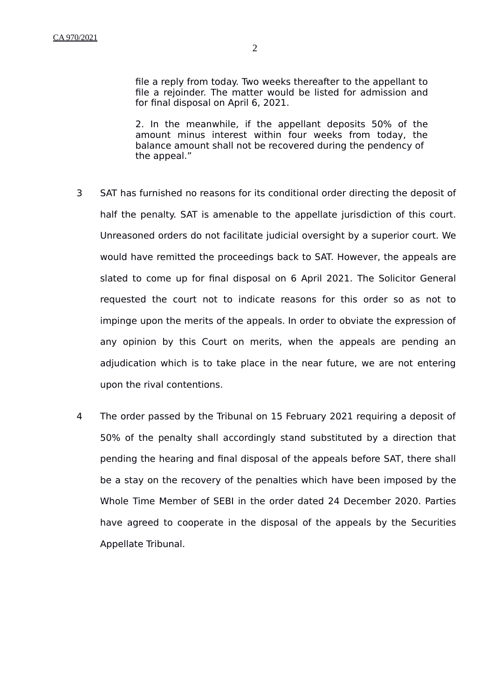2. In the meanwhile, if the appellant deposits 50% of the amount minus interest within four weeks from today, the balance amount shall not be recovered during the pendency of the appeal."

- 3 SAT has furnished no reasons for its conditional order directing the deposit of half the penalty. SAT is amenable to the appellate jurisdiction of this court. Unreasoned orders do not facilitate judicial oversight by a superior court. We would have remitted the proceedings back to SAT. However, the appeals are slated to come up for final disposal on 6 April 2021. The Solicitor General requested the court not to indicate reasons for this order so as not to impinge upon the merits of the appeals. In order to obviate the expression of any opinion by this Court on merits, when the appeals are pending an adjudication which is to take place in the near future, we are not entering upon the rival contentions.
- 4 The order passed by the Tribunal on 15 February 2021 requiring a deposit of 50% of the penalty shall accordingly stand substituted by a direction that pending the hearing and final disposal of the appeals before SAT, there shall be a stay on the recovery of the penalties which have been imposed by the Whole Time Member of SEBI in the order dated 24 December 2020. Parties have agreed to cooperate in the disposal of the appeals by the Securities Appellate Tribunal.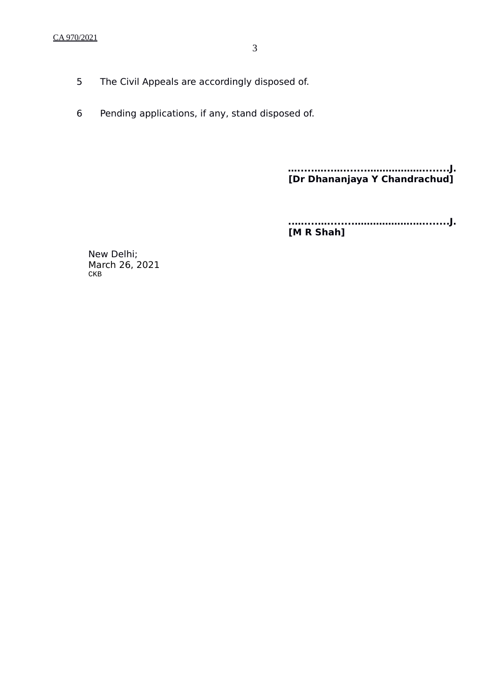- 5 The Civil Appeals are accordingly disposed of.
- 6 Pending applications, if any, stand disposed of.

**….....…...….......………………........J. [Dr Dhananjaya Y Chandrachud]**

**..…....…........……………….…........J. [M R Shah]**

New Delhi; March 26, 2021 CKB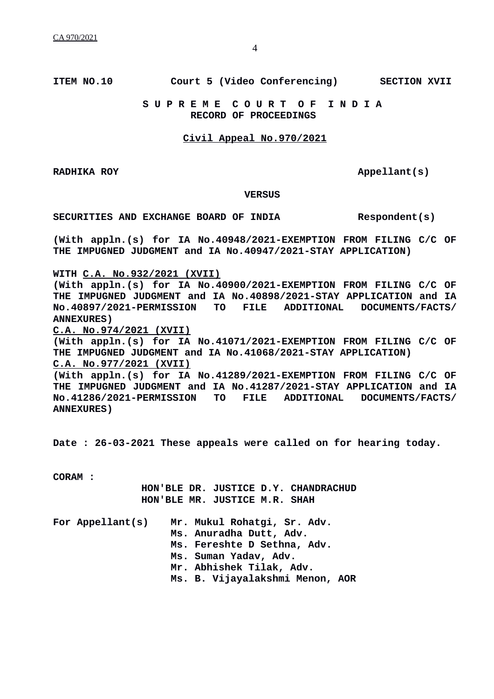## **ITEM NO.10 Court 5 (Video Conferencing) SECTION XVII**

#### **S U P R E M E C O U R T O F I N D I A RECORD OF PROCEEDINGS**

#### **Civil Appeal No.970/2021**

**RADHIKA ROY Apple 10 Apple 10 Apple 11 Apple 11 Apple 11 Apple 11 Apple 11 Apple 11 Apple 11 Apple 11 Apple 11 Apple 11 Apple 11 Apple 11 Apple 11 Apple 11 Apple 11 Apple 11 Apple 11** 

 **VERSUS**

**SECURITIES AND EXCHANGE BOARD OF INDIA Respondent(s)**

**(With appln.(s) for IA No.40948/2021-EXEMPTION FROM FILING C/C OF THE IMPUGNED JUDGMENT and IA No.40947/2021-STAY APPLICATION)**

**WITH C.A. No.932/2021 (XVII)**

**(With appln.(s) for IA No.40900/2021-EXEMPTION FROM FILING C/C OF THE IMPUGNED JUDGMENT and IA No.40898/2021-STAY APPLICATION and IA No.40897/2021-PERMISSION TO FILE ADDITIONAL DOCUMENTS/FACTS/ ANNEXURES)**

**C.A. No.974/2021 (XVII)**

**(With appln.(s) for IA No.41071/2021-EXEMPTION FROM FILING C/C OF THE IMPUGNED JUDGMENT and IA No.41068/2021-STAY APPLICATION) C.A. No.977/2021 (XVII)**

**(With appln.(s) for IA No.41289/2021-EXEMPTION FROM FILING C/C OF THE IMPUGNED JUDGMENT and IA No.41287/2021-STAY APPLICATION and IA No.41286/2021-PERMISSION TO FILE ADDITIONAL DOCUMENTS/FACTS/ ANNEXURES)**

**Date : 26-03-2021 These appeals were called on for hearing today.**

**CORAM :** 

 **HON'BLE DR. JUSTICE D.Y. CHANDRACHUD HON'BLE MR. JUSTICE M.R. SHAH**

|  | For Appellant(s) | Mr. Mukul Rohatgi, Sr. Adv.     |
|--|------------------|---------------------------------|
|  |                  | Ms. Anuradha Dutt, Adv.         |
|  |                  | Ms. Fereshte D Sethna, Adv.     |
|  |                  | Ms. Suman Yadav, Adv.           |
|  |                  | Mr. Abhishek Tilak, Adv.        |
|  |                  | Ms. B. Vijayalakshmi Menon, AOR |